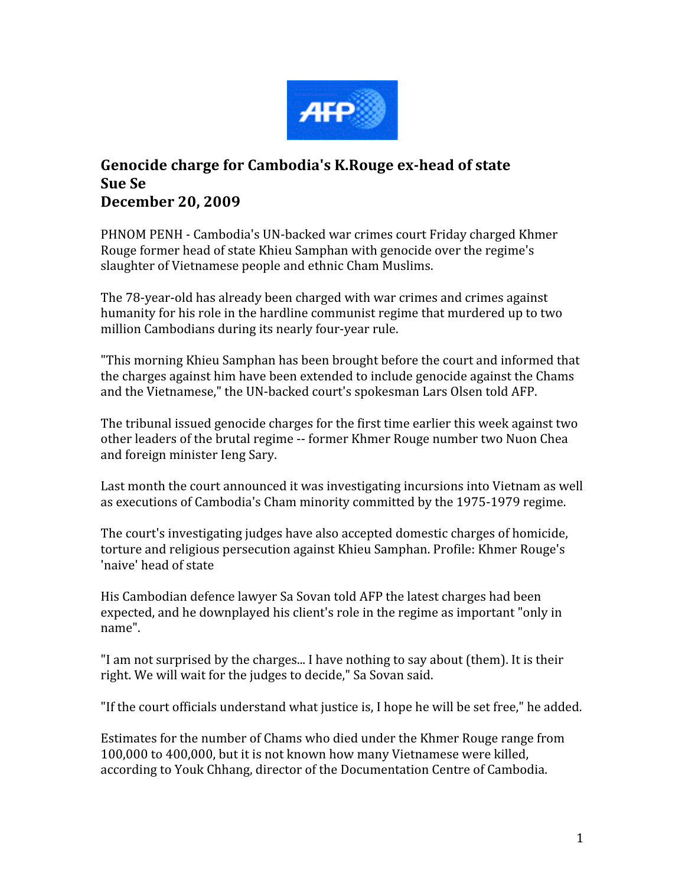

## **Genocide charge for Cambodia's K.Rouge exhead of state Sue Se December 20, 2009**

PHNOM PENH - Cambodia's UN-backed war crimes court Friday charged Khmer Rouge former head of state Khieu Samphan with genocide over the regime's slaughter
of
Vietnamese
people
and
ethnic
Cham
Muslims.

The
78‐year‐old
has
already
been
charged
with
war
crimes
and
crimes
against humanity for his role in the hardline communist regime that murdered up to two million
Cambodians
during
its
nearly
four‐year
rule.

"This
morning
Khieu
Samphan
has
been
brought
before
the
court
and
informed
that the charges against him have been extended to include genocide against the Chams and the Vietnamese," the UN-backed court's spokesman Lars Olsen told AFP.

The tribunal issued genocide charges for the first time earlier this week against two other leaders of the brutal regime -- former Khmer Rouge number two Nuon Chea and
foreign
minister
Ieng
Sary.

Last month the court announced it was investigating incursions into Vietnam as well as
executions
of
Cambodia's
Cham
minority
committed
by
the
1975‐1979
regime.

The
court's
investigating
judges
have
also
accepted
domestic
charges
of
homicide, torture and religious persecution against Khieu Samphan. Profile: Khmer Rouge's 'naive'
head
of
state

His
Cambodian
defence
lawyer
Sa
Sovan
told
AFP
the
latest
charges
had
been expected, and he downplayed his client's role in the regime as important "only in name".

"I am not surprised by the charges... I have nothing to say about (them). It is their right. We will wait for the judges to decide," Sa Sovan said.

"If
the
court
officials
understand
what
justice
is,
I
hope
he
will
be
set free,"
he
added.

Estimates
for
the
number
of
Chams
who
died
under
the
Khmer
Rouge
range
from 100,000 to 400,000, but it is not known how many Vietnamese were killed, according
to
Youk
Chhang,
director
of
the
Documentation
Centre
of
Cambodia.